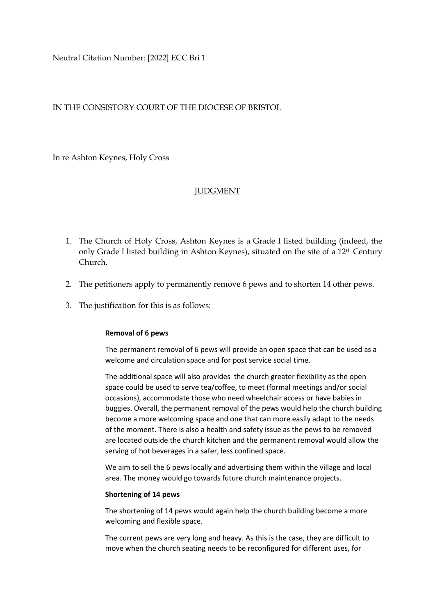Neutral Citation Number: [2022] ECC Bri 1

## IN THE CONSISTORY COURT OF THE DIOCESE OF BRISTOL

In re Ashton Keynes, Holy Cross

## **JUDGMENT**

- 1. The Church of Holy Cross, Ashton Keynes is a Grade I listed building (indeed, the only Grade I listed building in Ashton Keynes), situated on the site of a 12th Century Church.
- 2. The petitioners apply to permanently remove 6 pews and to shorten 14 other pews.
- 3. The justification for this is as follows:

## **Removal of 6 pews**

The permanent removal of 6 pews will provide an open space that can be used as a welcome and circulation space and for post service social time.

The additional space will also provides the church greater flexibility as the open space could be used to serve tea/coffee, to meet (formal meetings and/or social occasions), accommodate those who need wheelchair access or have babies in buggies. Overall, the permanent removal of the pews would help the church building become a more welcoming space and one that can more easily adapt to the needs of the moment. There is also a health and safety issue as the pews to be removed are located outside the church kitchen and the permanent removal would allow the serving of hot beverages in a safer, less confined space.

We aim to sell the 6 pews locally and advertising them within the village and local area. The money would go towards future church maintenance projects.

## **Shortening of 14 pews**

The shortening of 14 pews would again help the church building become a more welcoming and flexible space.

The current pews are very long and heavy. As this is the case, they are difficult to move when the church seating needs to be reconfigured for different uses, for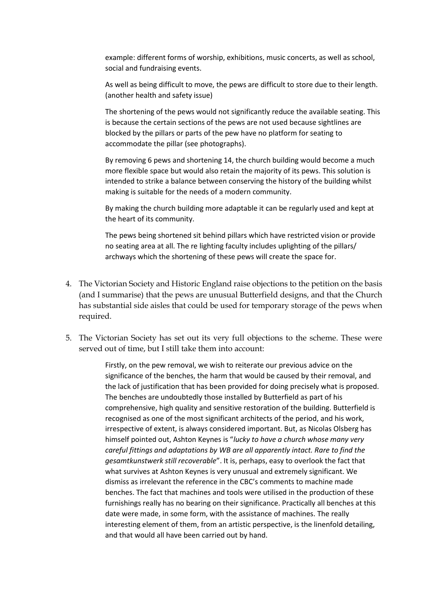example: different forms of worship, exhibitions, music concerts, as well as school, social and fundraising events.

As well as being difficult to move, the pews are difficult to store due to their length. (another health and safety issue)

The shortening of the pews would not significantly reduce the available seating. This is because the certain sections of the pews are not used because sightlines are blocked by the pillars or parts of the pew have no platform for seating to accommodate the pillar (see photographs).

By removing 6 pews and shortening 14, the church building would become a much more flexible space but would also retain the majority of its pews. This solution is intended to strike a balance between conserving the history of the building whilst making is suitable for the needs of a modern community.

By making the church building more adaptable it can be regularly used and kept at the heart of its community.

The pews being shortened sit behind pillars which have restricted vision or provide no seating area at all. The re lighting faculty includes uplighting of the pillars/ archways which the shortening of these pews will create the space for.

- 4. The Victorian Society and Historic England raise objections to the petition on the basis (and I summarise) that the pews are unusual Butterfield designs, and that the Church has substantial side aisles that could be used for temporary storage of the pews when required.
- 5. The Victorian Society has set out its very full objections to the scheme. These were served out of time, but I still take them into account:

Firstly, on the pew removal, we wish to reiterate our previous advice on the significance of the benches, the harm that would be caused by their removal, and the lack of justification that has been provided for doing precisely what is proposed. The benches are undoubtedly those installed by Butterfield as part of his comprehensive, high quality and sensitive restoration of the building. Butterfield is recognised as one of the most significant architects of the period, and his work, irrespective of extent, is always considered important. But, as Nicolas Olsberg has himself pointed out, Ashton Keynes is "*lucky to have a church whose many very careful fittings and adaptations by WB are all apparently intact. Rare to find the gesamtkunstwerk still recoverable*". It is, perhaps, easy to overlook the fact that what survives at Ashton Keynes is very unusual and extremely significant. We dismiss as irrelevant the reference in the CBC's comments to machine made benches. The fact that machines and tools were utilised in the production of these furnishings really has no bearing on their significance. Practically all benches at this date were made, in some form, with the assistance of machines. The really interesting element of them, from an artistic perspective, is the linenfold detailing, and that would all have been carried out by hand.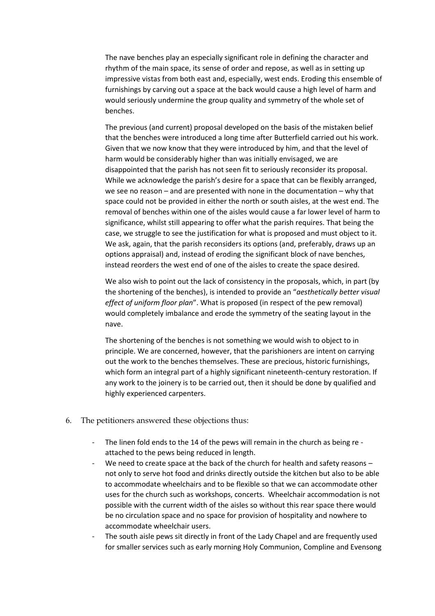The nave benches play an especially significant role in defining the character and rhythm of the main space, its sense of order and repose, as well as in setting up impressive vistas from both east and, especially, west ends. Eroding this ensemble of furnishings by carving out a space at the back would cause a high level of harm and would seriously undermine the group quality and symmetry of the whole set of benches.

The previous (and current) proposal developed on the basis of the mistaken belief that the benches were introduced a long time after Butterfield carried out his work. Given that we now know that they were introduced by him, and that the level of harm would be considerably higher than was initially envisaged, we are disappointed that the parish has not seen fit to seriously reconsider its proposal. While we acknowledge the parish's desire for a space that can be flexibly arranged, we see no reason – and are presented with none in the documentation – why that space could not be provided in either the north or south aisles, at the west end. The removal of benches within one of the aisles would cause a far lower level of harm to significance, whilst still appearing to offer what the parish requires. That being the case, we struggle to see the justification for what is proposed and must object to it. We ask, again, that the parish reconsiders its options (and, preferably, draws up an options appraisal) and, instead of eroding the significant block of nave benches, instead reorders the west end of one of the aisles to create the space desired.

We also wish to point out the lack of consistency in the proposals, which, in part (by the shortening of the benches), is intended to provide an "*aesthetically better visual effect of uniform floor plan*". What is proposed (in respect of the pew removal) would completely imbalance and erode the symmetry of the seating layout in the nave.

The shortening of the benches is not something we would wish to object to in principle. We are concerned, however, that the parishioners are intent on carrying out the work to the benches themselves. These are precious, historic furnishings, which form an integral part of a highly significant nineteenth-century restoration. If any work to the joinery is to be carried out, then it should be done by qualified and highly experienced carpenters.

- 6. The petitioners answered these objections thus:
	- The linen fold ends to the 14 of the pews will remain in the church as being re attached to the pews being reduced in length.
	- We need to create space at the back of the church for health and safety reasons not only to serve hot food and drinks directly outside the kitchen but also to be able to accommodate wheelchairs and to be flexible so that we can accommodate other uses for the church such as workshops, concerts. Wheelchair accommodation is not possible with the current width of the aisles so without this rear space there would be no circulation space and no space for provision of hospitality and nowhere to accommodate wheelchair users.
	- The south aisle pews sit directly in front of the Lady Chapel and are frequently used for smaller services such as early morning Holy Communion, Compline and Evensong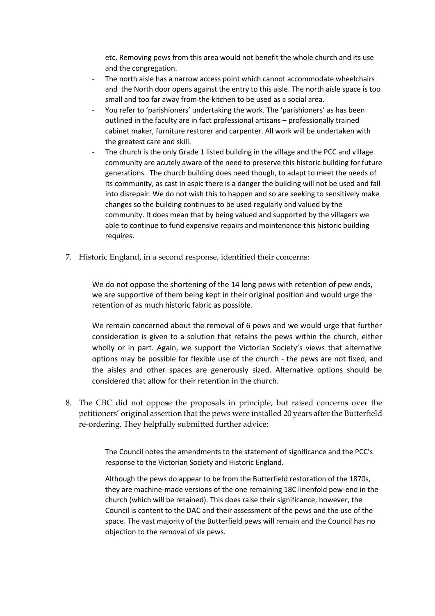etc. Removing pews from this area would not benefit the whole church and its use and the congregation.

- The north aisle has a narrow access point which cannot accommodate wheelchairs and the North door opens against the entry to this aisle. The north aisle space is too small and too far away from the kitchen to be used as a social area.
- You refer to 'parishioners' undertaking the work. The 'parishioners' as has been outlined in the faculty are in fact professional artisans – professionally trained cabinet maker, furniture restorer and carpenter. All work will be undertaken with the greatest care and skill.
- The church is the only Grade 1 listed building in the village and the PCC and village community are acutely aware of the need to preserve this historic building for future generations. The church building does need though, to adapt to meet the needs of its community, as cast in aspic there is a danger the building will not be used and fall into disrepair. We do not wish this to happen and so are seeking to sensitively make changes so the building continues to be used regularly and valued by the community. It does mean that by being valued and supported by the villagers we able to continue to fund expensive repairs and maintenance this historic building requires.
- 7. Historic England, in a second response, identified their concerns:

We do not oppose the shortening of the 14 long pews with retention of pew ends, we are supportive of them being kept in their original position and would urge the retention of as much historic fabric as possible.

We remain concerned about the removal of 6 pews and we would urge that further consideration is given to a solution that retains the pews within the church, either wholly or in part. Again, we support the Victorian Society's views that alternative options may be possible for flexible use of the church - the pews are not fixed, and the aisles and other spaces are generously sized. Alternative options should be considered that allow for their retention in the church.

8. The CBC did not oppose the proposals in principle, but raised concerns over the petitioners' original assertion that the pews were installed 20 years after the Butterfield re-ordering. They helpfully submitted further advice:

> The Council notes the amendments to the statement of significance and the PCC's response to the Victorian Society and Historic England.

Although the pews do appear to be from the Butterfield restoration of the 1870s, they are machine-made versions of the one remaining 18C linenfold pew-end in the church (which will be retained). This does raise their significance, however, the Council is content to the DAC and their assessment of the pews and the use of the space. The vast majority of the Butterfield pews will remain and the Council has no objection to the removal of six pews.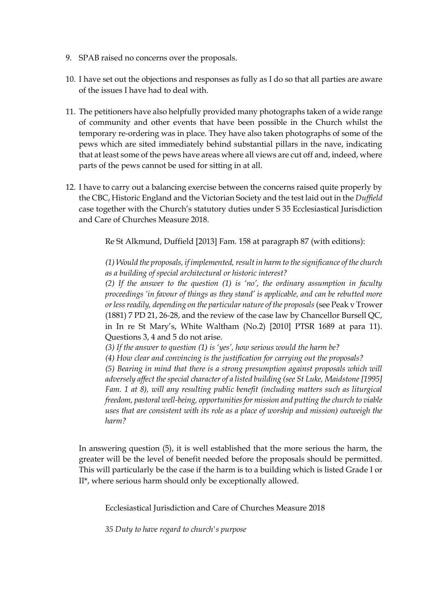- 9. SPAB raised no concerns over the proposals.
- 10. I have set out the objections and responses as fully as I do so that all parties are aware of the issues I have had to deal with.
- 11. The petitioners have also helpfully provided many photographs taken of a wide range of community and other events that have been possible in the Church whilst the temporary re-ordering was in place. They have also taken photographs of some of the pews which are sited immediately behind substantial pillars in the nave, indicating that at least some of the pews have areas where all views are cut off and, indeed, where parts of the pews cannot be used for sitting in at all.
- 12. I have to carry out a balancing exercise between the concerns raised quite properly by the CBC, Historic England and the Victorian Society and the test laid out in the *Duffield* case together with the Church's statutory duties under S 35 Ecclesiastical Jurisdiction and Care of Churches Measure 2018.

Re St Alkmund, Duffield [2013] Fam. 158 at paragraph 87 (with editions):

*(1) Would the proposals, if implemented, result in harm to the significance of the church as a building of special architectural or historic interest?*

*(2) If the answer to the question (1) is 'no', the ordinary assumption in faculty proceedings 'in favour of things as they stand' is applicable, and can be rebutted more or less readily, depending on the particular nature of the proposals* (see Peak v Trower (1881) 7 PD 21, 26-28, and the review of the case law by Chancellor Bursell QC, in In re St Mary's, White Waltham (No.2) [2010] PTSR 1689 at para 11). Questions 3, 4 and 5 do not arise.

*(3) If the answer to question (1) is 'yes', how serious would the harm be?*

*(4) How clear and convincing is the justification for carrying out the proposals?*

*(5) Bearing in mind that there is a strong presumption against proposals which will adversely affect the special character of a listed building (see St Luke, Maidstone [1995] Fam. 1 at 8), will any resulting public benefit (including matters such as liturgical freedom, pastoral well-being, opportunities for mission and putting the church to viable uses that are consistent with its role as a place of worship and mission) outweigh the harm?*

In answering question (5), it is well established that the more serious the harm, the greater will be the level of benefit needed before the proposals should be permitted. This will particularly be the case if the harm is to a building which is listed Grade I or II\*, where serious harm should only be exceptionally allowed.

Ecclesiastical Jurisdiction and Care of Churches Measure 2018

*35 Duty to have regard to church's purpose*